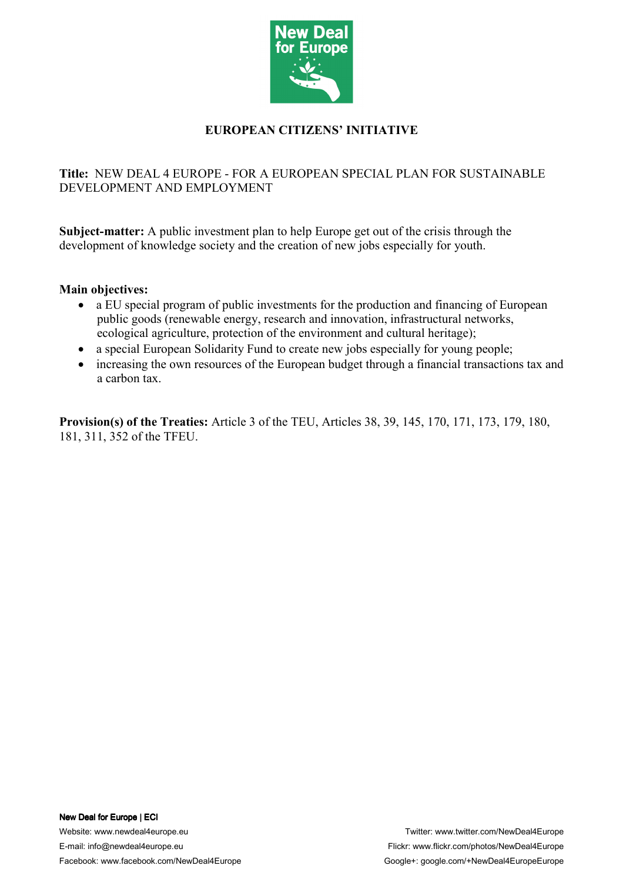

# **EUROPEAN CITIZENS' INITIATIVE**

# **Title:** NEW DEAL 4 EUROPE - FOR A EUROPEAN SPECIAL PLAN FOR SUSTAINABLE DEVELOPMENT AND EMPLOYMENT

**Subject-matter:** A public investment plan to help Europe get out of the crisis through the development of knowledge society and the creation of new jobs especially for youth.

### **Main objectives:**

- a EU special program of public investments for the production and financing of European public goods (renewable energy, research and innovation, infrastructural networks, ecological agriculture, protection of the environment and cultural heritage);
- a special European Solidarity Fund to create new jobs especially for young people;
- increasing the own resources of the European budget through a financial transactions tax and a carbon tax.

**Provision(s) of the Treaties:** Article 3 of the TEU, Articles 38, 39, 145, 170, 171, 173, 179, 180, 181, 311, 352 of the TFEU.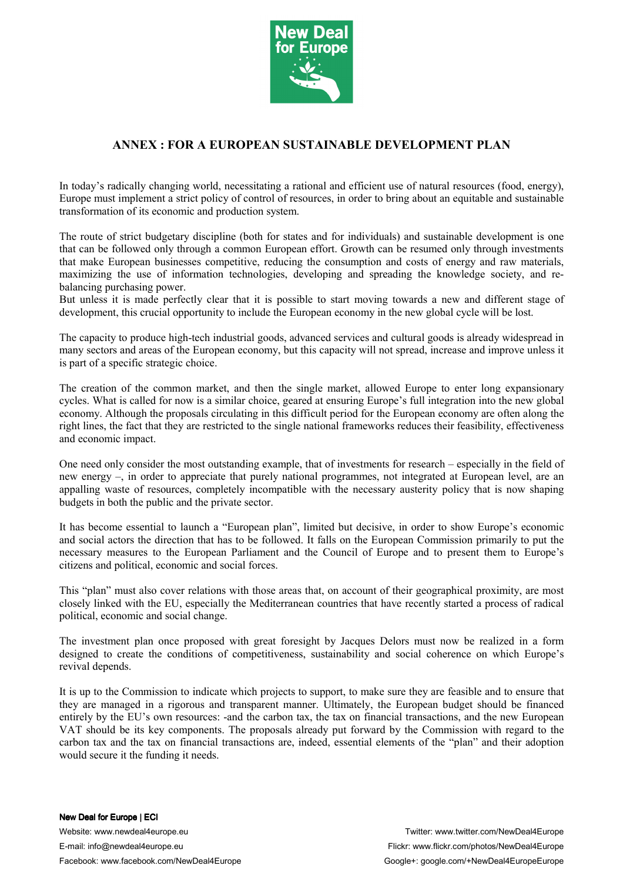

## **ANNEX : FOR A EUROPEAN SUSTAINABLE DEVELOPMENT PLAN**

In today's radically changing world, necessitating a rational and efficient use of natural resources (food, energy), Europe must implement a strict policy of control of resources, in order to bring about an equitable and sustainable transformation of its economic and production system.

The route of strict budgetary discipline (both for states and for individuals) and sustainable development is one that can be followed only through a common European effort. Growth can be resumed only through investments that make European businesses competitive, reducing the consumption and costs of energy and raw materials, maximizing the use of information technologies, developing and spreading the knowledge society, and rebalancing purchasing power.

But unless it is made perfectly clear that it is possible to start moving towards a new and different stage of development, this crucial opportunity to include the European economy in the new global cycle will be lost.

The capacity to produce high-tech industrial goods, advanced services and cultural goods is already widespread in many sectors and areas of the European economy, but this capacity will not spread, increase and improve unless it is part of a specific strategic choice.

The creation of the common market, and then the single market, allowed Europe to enter long expansionary cycles. What is called for now is a similar choice, geared at ensuring Europe's full integration into the new global economy. Although the proposals circulating in this difficult period for the European economy are often along the right lines, the fact that they are restricted to the single national frameworks reduces their feasibility, effectiveness and economic impact.

One need only consider the most outstanding example, that of investments for research – especially in the field of new energy –, in order to appreciate that purely national programmes, not integrated at European level, are an appalling waste of resources, completely incompatible with the necessary austerity policy that is now shaping budgets in both the public and the private sector.

It has become essential to launch a "European plan", limited but decisive, in order to show Europe's economic and social actors the direction that has to be followed. It falls on the European Commission primarily to put the necessary measures to the European Parliament and the Council of Europe and to present them to Europe's citizens and political, economic and social forces.

This "plan" must also cover relations with those areas that, on account of their geographical proximity, are most closely linked with the EU, especially the Mediterranean countries that have recently started a process of radical political, economic and social change.

The investment plan once proposed with great foresight by Jacques Delors must now be realized in a form designed to create the conditions of competitiveness, sustainability and social coherence on which Europe's revival depends.

It is up to the Commission to indicate which projects to support, to make sure they are feasible and to ensure that they are managed in a rigorous and transparent manner. Ultimately, the European budget should be financed entirely by the EU's own resources: -and the carbon tax, the tax on financial transactions, and the new European VAT should be its key components. The proposals already put forward by the Commission with regard to the carbon tax and the tax on financial transactions are, indeed, essential elements of the "plan" and their adoption would secure it the funding it needs.